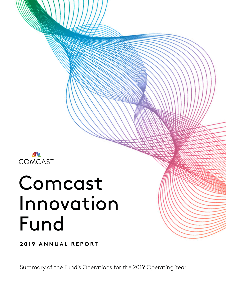

# Comcast Innovation Fund

**2019 ANNUAL REPORT**

Summary of the Fund's Operations for the 2019 Operating Year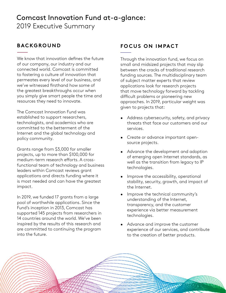# Comcast Innovation Fund at-a-glance: 2019 Executive Summary

## **BACKGROUND**

We know that innovation defines the future of our company, our industry and our connected world. Comcast is committed to fostering a culture of innovation that permeates every level of our business, and we've witnessed firsthand how some of the greatest breakthroughs occur when you simply give smart people the time and resources they need to innovate.

The Comcast Innovation Fund was established to support researchers, technologists, and academics who are committed to the betterment of the Internet and the global technology and policy community.

Grants range from \$3,000 for smaller projects, up to more than \$100,000 for medium-term research efforts. A crossfunctional team of technology and business leaders within Comcast reviews grant applications and directs funding where it is most needed and can have the greatest impact.

In 2019, we funded 17 grants from a large pool of worthwhile applications. Since the Fund's inception in 2013, Comcast has supported 145 projects from researchers in 14 countries around the world. We've been inspired by the results of this research and are committed to continuing the program into the future.

# **FOCUS ON IMPACT**

Through the innovation fund, we focus on small and midsized projects that may slip between the cracks of traditional research funding sources. The multidisciplinary team of subject matter experts that review applications look for research projects that move technology forward by tackling difficult problems or pioneering new approaches. In 2019, particular weight was given to projects that:

- Address cybersecurity, safety, and privacy threats that face our customers and our services.
- Create or advance important opensource projects.
- Advance the development and adoption of emerging open Internet standards, as well as the transition from legacy to IP technologies.
- Improve the accessibility, operational stability, security, growth, and impact of the Internet.
- Improve the technical community's understanding of the Internet, transparency, and the customer experience via better measurement technologies.
- Advance and improve the customer experience of our services, and contribute to the creation of better products.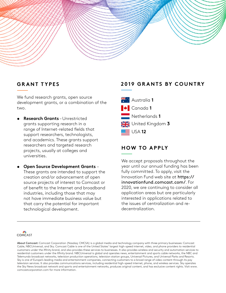# **GRANT TYPES**

We fund research grants, open source development grants, or a combination of the two.

- **• Research Grants** Unrestricted grants supporting research in a range of Internet-related fields that support researchers, technologists, and academics. These grants support researchers and targeted research projects, usually at colleges and universities.
- **• Open Source Development Grants**  These grants are intended to support the creation and/or advancement of open source projects of interest to Comcast or of benefit to the Internet and broadband industries, including those that may not have immediate business value but that carry the potential for important technological development.

# **2019 GRANTS BY COUNTRY**

 $\frac{25}{4}$  Australia 1 Canada **1** Netherlands **1** United Kingdom **3** USA **12**

# **HOW TO APPLY**

We accept proposals throughout the year until our annual funding has been fully committed. To apply, visit the Innovation Fund web site at https:// innovationfund.comcast.com/. For 2020, we are continuing to consider all application areas but are particularly interested in applications related to the issues of centralization and redecentralization.



About Comcast: Comcast Corporation (Nasdaq: CMCSA) is a global media and technology company with three primary businesses: Comcast Cable, NBCUniversal, and Sky. Comcast Cable is one of the United States' largest high-speed internet, video, and phone providers to residential customers under the Xfinity brand, and also provides these services to businesses. It also provides wireless and security and automation services to residential customers under the Xfinity brand. NBCUniversal is global and operates news, entertainment and sports cable networks, the NBC and Telemundo broadcast networks, television production operations, television station groups, Universal Pictures, and Universal Parks and Resorts. Sky is one of Europe's leading media and entertainment companies, connecting customers to a broad range of video content through its pay television services. It also provides communications services, including residential high-speed internet, phone, and wireless services. Sky operates the Sky News broadcast network and sports and entertainment networks, produces original content, and has exclusive content rights. Visit www. comcastcorporation.com for more information.